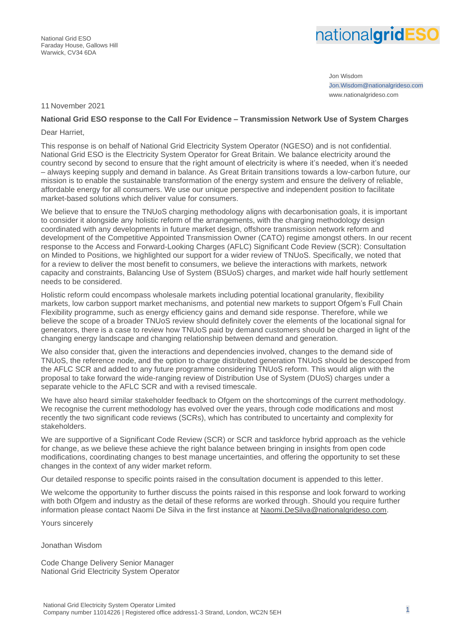

Jon Wisdom Jon.Wisdom@nationalgrideso.com www.nationalgrideso.com

#### 11 November 2021

## **National Grid ESO response to the Call For Evidence – Transmission Network Use of System Charges**

#### Dear Harriet,

This response is on behalf of National Grid Electricity System Operator (NGESO) and is not confidential. National Grid ESO is the Electricity System Operator for Great Britain. We balance electricity around the country second by second to ensure that the right amount of electricity is where it's needed, when it's needed – always keeping supply and demand in balance. As Great Britain transitions towards a low-carbon future, our mission is to enable the sustainable transformation of the energy system and ensure the delivery of reliable, affordable energy for all consumers. We use our unique perspective and independent position to facilitate market-based solutions which deliver value for consumers.

We believe that to ensure the TNUoS charging methodology aligns with decarbonisation goals, it is important to consider it alongside any holistic reform of the arrangements, with the charging methodology design coordinated with any developments in future market design, offshore transmission network reform and development of the Competitive Appointed Transmission Owner (CATO) regime amongst others. In our recent response to the Access and Forward-Looking Charges (AFLC) Significant Code Review (SCR): Consultation on Minded to Positions, we highlighted our support for a wider review of TNUoS. Specifically, we noted that for a review to deliver the most benefit to consumers, we believe the interactions with markets, network capacity and constraints, Balancing Use of System (BSUoS) charges, and market wide half hourly settlement needs to be considered.

Holistic reform could encompass wholesale markets including potential locational granularity, flexibility markets, low carbon support market mechanisms, and potential new markets to support Ofgem's Full Chain Flexibility programme, such as energy efficiency gains and demand side response. Therefore, while we believe the scope of a broader TNUoS review should definitely cover the elements of the locational signal for generators, there is a case to review how TNUoS paid by demand customers should be charged in light of the changing energy landscape and changing relationship between demand and generation.

We also consider that, given the interactions and dependencies involved, changes to the demand side of TNUoS, the reference node, and the option to charge distributed generation TNUoS should be descoped from the AFLC SCR and added to any future programme considering TNUoS reform. This would align with the proposal to take forward the wide-ranging review of Distribution Use of System (DUoS) charges under a separate vehicle to the AFLC SCR and with a revised timescale.

We have also heard similar stakeholder feedback to Ofgem on the shortcomings of the current methodology. We recognise the current methodology has evolved over the years, through code modifications and most recently the two significant code reviews (SCRs), which has contributed to uncertainty and complexity for stakeholders.

We are supportive of a Significant Code Review (SCR) or SCR and taskforce hybrid approach as the vehicle for change, as we believe these achieve the right balance between bringing in insights from open code modifications, coordinating changes to best manage uncertainties, and offering the opportunity to set these changes in the context of any wider market reform.

Our detailed response to specific points raised in the consultation document is appended to this letter.

We welcome the opportunity to further discuss the points raised in this response and look forward to working with both Ofgem and industry as the detail of these reforms are worked through. Should you require further information please contact Naomi De Silva in the first instance at [Naomi.DeSilva@nationalgrideso.com.](mailto:Naomi.DeSilva@nationalgrideso.com)

Yours sincerely

#### Jonathan Wisdom

Code Change Delivery Senior Manager National Grid Electricity System Operator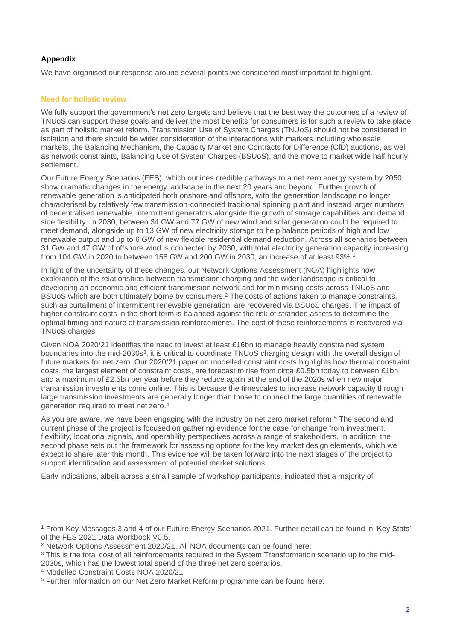# **Appendix**

We have organised our response around several points we considered most important to highlight.

# **Need for holistic review**

We fully support the government's net zero targets and believe that the best way the outcomes of a review of TNUoS can support these goals and deliver the most benefits for consumers is for such a review to take place as part of holistic market reform. Transmission Use of System Charges (TNUoS) should not be considered in isolation and there should be wider consideration of the interactions with markets including wholesale markets, the Balancing Mechanism, the Capacity Market and Contracts for Difference (CfD) auctions, as well as network constraints, Balancing Use of System Charges (BSUoS), and the move to market wide half hourly settlement.

Our Future Energy Scenarios (FES), which outlines credible pathways to a net zero energy system by 2050, show dramatic changes in the energy landscape in the next 20 years and beyond. Further growth of renewable generation is anticipated both onshore and offshore, with the generation landscape no longer characterised by relatively few transmission-connected traditional spinning plant and instead larger numbers of decentralised renewable, intermittent generators alongside the growth of storage capabilities and demand side flexibility. In 2030, between 34 GW and 77 GW of new wind and solar generation could be required to meet demand, alongside up to 13 GW of new electricity storage to help balance periods of high and low renewable output and up to 6 GW of new flexible residential demand reduction. Across all scenarios between 31 GW and 47 GW of offshore wind is connected by 2030, with total electricity generation capacity increasing from 104 GW in 2020 to between 158 GW and 200 GW in 2030, an increase of at least 93%. 1

In light of the uncertainty of these changes, our Network Options Assessment (NOA) highlights how exploration of the relationships between transmission charging and the wider landscape is critical to developing an economic and efficient transmission network and for minimising costs across TNUoS and BSUoS which are both ultimately borne by consumers. <sup>2</sup> The costs of actions taken to manage constraints, such as curtailment of intermittent renewable generation, are recovered via BSUoS charges. The impact of higher constraint costs in the short term is balanced against the risk of stranded assets to determine the optimal timing and nature of transmission reinforcements. The cost of these reinforcements is recovered via TNUoS charges.

Given NOA 2020/21 identifies the need to invest at least £16bn to manage heavily constrained system boundaries into the mid-2030s<sup>3</sup>, it is critical to coordinate TNUoS charging design with the overall design of future markets for net zero. Our 2020/21 paper on modelled constraint costs highlights how thermal constraint costs, the largest element of constraint costs, are forecast to rise from circa £0.5bn today to between £1bn and a maximum of £2.5bn per year before they reduce again at the end of the 2020s when new major transmission investments come online. This is because the timescales to increase network capacity through large transmission investments are generally longer than those to connect the large quantities of renewable generation required to meet net zero. 4

As you are aware, we have been engaging with the industry on net zero market reform.<sup>5</sup> The second and current phase of the project is focused on gathering evidence for the case for change from investment, flexibility, locational signals, and operability perspectives across a range of stakeholders. In addition, the second phase sets out the framework for assessing options for the key market design elements, which we expect to share later this month. This evidence will be taken forward into the next stages of the project to support identification and assessment of potential market solutions.

Early indications, albeit across a small sample of workshop participants, indicated that a majority of

<sup>1</sup> From Key Messages 3 and 4 of our [Future Energy Scenarios 2021.](https://www.nationalgrideso.com/document/202851/download) Further detail can be found in 'Key Stats' of the FES 2021 Data Workbook V0.5.

<sup>2</sup> [Network Options Assessment 2020/21.](https://www.nationalgrideso.com/document/185881/download) All NOA documents can be found [here:](https://www.nationalgrideso.com/research-publications/network-options-assessment-noa)

<sup>3</sup> This is the total cost of all reinforcements required in the System Transformation scenario up to the mid-

<sup>2030</sup>s, which has the lowest total spend of the three net zero scenarios.

<sup>4</sup> [Modelled Constraint Costs NOA 2020/21](https://www.nationalgrideso.com/document/194436/download)

<sup>&</sup>lt;sup>5</sup> Further information on our Net Zero Market Reform programme can be found [here.](https://www.nationalgrideso.com/future-energy/projects/net-zero-market-reform)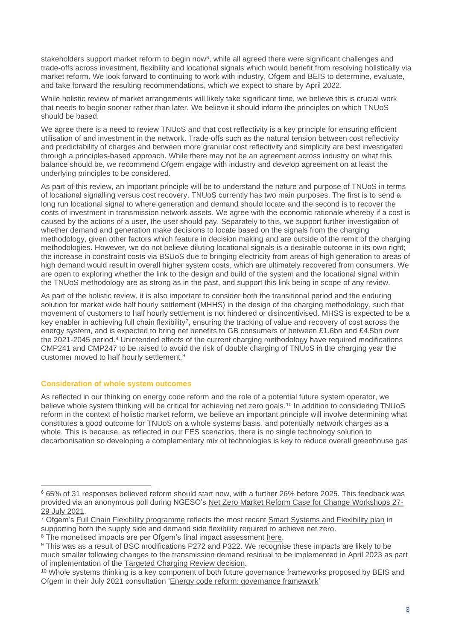stakeholders support market reform to begin now<sup>6</sup>, while all agreed there were significant challenges and trade-offs across investment, flexibility and locational signals which would benefit from resolving holistically via market reform. We look forward to continuing to work with industry, Ofgem and BEIS to determine, evaluate, and take forward the resulting recommendations, which we expect to share by April 2022.

While holistic review of market arrangements will likely take significant time, we believe this is crucial work that needs to begin sooner rather than later. We believe it should inform the principles on which TNUoS should be based.

We agree there is a need to review TNUoS and that cost reflectivity is a key principle for ensuring efficient utilisation of and investment in the network. Trade-offs such as the natural tension between cost reflectivity and predictability of charges and between more granular cost reflectivity and simplicity are best investigated through a principles-based approach. While there may not be an agreement across industry on what this balance should be, we recommend Ofgem engage with industry and develop agreement on at least the underlying principles to be considered.

As part of this review, an important principle will be to understand the nature and purpose of TNUoS in terms of locational signalling versus cost recovery. TNUoS currently has two main purposes. The first is to send a long run locational signal to where generation and demand should locate and the second is to recover the costs of investment in transmission network assets. We agree with the economic rationale whereby if a cost is caused by the actions of a user, the user should pay. Separately to this, we support further investigation of whether demand and generation make decisions to locate based on the signals from the charging methodology, given other factors which feature in decision making and are outside of the remit of the charging methodologies. However, we do not believe diluting locational signals is a desirable outcome in its own right; the increase in constraint costs via BSUoS due to bringing electricity from areas of high generation to areas of high demand would result in overall higher system costs, which are ultimately recovered from consumers. We are open to exploring whether the link to the design and build of the system and the locational signal within the TNUoS methodology are as strong as in the past, and support this link being in scope of any review.

As part of the holistic review, it is also important to consider both the transitional period and the enduring solution for market wide half hourly settlement (MHHS) in the design of the charging methodology, such that movement of customers to half hourly settlement is not hindered or disincentivised. MHSS is expected to be a key enabler in achieving full chain flexibility<sup>7</sup>, ensuring the tracking of value and recovery of cost across the energy system, and is expected to bring net benefits to GB consumers of between £1.6bn and £4.5bn over the 2021-2045 period.<sup>8</sup> Unintended effects of the current charging methodology have required modifications CMP241 and CMP247 to be raised to avoid the risk of double charging of TNUoS in the charging year the customer moved to half hourly settlement. 9

## **Consideration of whole system outcomes**

As reflected in our thinking on energy code reform and the role of a potential future system operator, we believe whole system thinking will be critical for achieving net zero goals.<sup>10</sup> In addition to considering TNUoS reform in the context of holistic market reform, we believe an important principle will involve determining what constitutes a good outcome for TNUoS on a whole systems basis, and potentially network charges as a whole. This is because, as reflected in our FES scenarios, there is no single technology solution to decarbonisation so developing a complementary mix of technologies is key to reduce overall greenhouse gas

<sup>6</sup> 65% of 31 responses believed reform should start now, with a further 26% before 2025. This feedback was provided via an anonymous poll during NGESO's [Net Zero Market Reform Case for Change Workshops 27-](https://www.nationalgrideso.com/document/215606/download) [29 July 2021.](https://www.nationalgrideso.com/document/215606/download)

 $\frac{7}{1}$  Ofgem's [Full Chain Flexibility programme](https://www.ofgem.gov.uk/energy-policy-and-regulation/policy-and-regulatory-programmes/full-chain-flexibility) reflects the most recent [Smart Systems and Flexibility plan](https://www.gov.uk/government/publications/transitioning-to-a-net-zero-energy-system-smart-systems-and-flexibility-plan-2021) in supporting both the supply side and demand side flexibility required to achieve net zero.

<sup>&</sup>lt;sup>8</sup> The monetised impacts are per Ofgem's final impact assessment [here.](https://www.ofgem.gov.uk/sites/default/files/docs/2021/04/mhss_final_impact_assessment_final_version_for_publication_20.04.21_1_0.pdf)

<sup>9</sup> This was as a result of BSC modifications P272 and P322. We recognise these impacts are likely to be much smaller following changes to the transmission demand residual to be implemented in April 2023 as part of implementation of the [Targeted Charging Review decision.](https://www.ofgem.gov.uk/publications/targeted-charging-review-decision-and-impact-assessment)

<sup>&</sup>lt;sup>10</sup> Whole systems thinking is a key component of both future governance frameworks proposed by BEIS and Ofgem in their July 2021 consultation ['Energy code reform: governance framework'](https://www.gov.uk/government/consultations/energy-code-reform-governance-framework)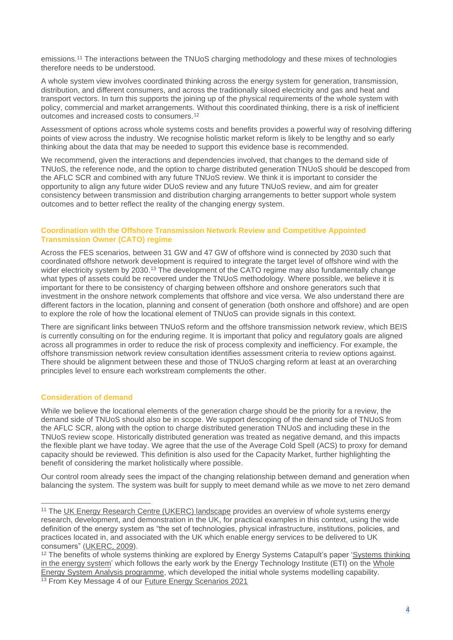emissions.<sup>11</sup> The interactions between the TNUoS charging methodology and these mixes of technologies therefore needs to be understood.

A whole system view involves coordinated thinking across the energy system for generation, transmission, distribution, and different consumers, and across the traditionally siloed electricity and gas and heat and transport vectors. In turn this supports the joining up of the physical requirements of the whole system with policy, commercial and market arrangements. Without this coordinated thinking, there is a risk of inefficient outcomes and increased costs to consumers.<sup>12</sup>

Assessment of options across whole systems costs and benefits provides a powerful way of resolving differing points of view across the industry. We recognise holistic market reform is likely to be lengthy and so early thinking about the data that may be needed to support this evidence base is recommended.

We recommend, given the interactions and dependencies involved, that changes to the demand side of TNUoS, the reference node, and the option to charge distributed generation TNUoS should be descoped from the AFLC SCR and combined with any future TNUoS review. We think it is important to consider the opportunity to align any future wider DUoS review and any future TNUoS review, and aim for greater consistency between transmission and distribution charging arrangements to better support whole system outcomes and to better reflect the reality of the changing energy system.

## **Coordination with the Offshore Transmission Network Review and Competitive Appointed Transmission Owner (CATO) regime**

Across the FES scenarios, between 31 GW and 47 GW of offshore wind is connected by 2030 such that coordinated offshore network development is required to integrate the target level of offshore wind with the wider electricity system by 2030.<sup>13</sup> The development of the CATO regime may also fundamentally change what types of assets could be recovered under the TNUoS methodology. Where possible, we believe it is important for there to be consistency of charging between offshore and onshore generators such that investment in the onshore network complements that offshore and vice versa. We also understand there are different factors in the location, planning and consent of generation (both onshore and offshore) and are open to explore the role of how the locational element of TNUoS can provide signals in this context.

There are significant links between TNUoS reform and the offshore transmission network review, which BEIS is currently consulting on for the enduring regime. It is important that policy and regulatory goals are aligned across all programmes in order to reduce the risk of process complexity and inefficiency. For example, the offshore transmission network review consultation identifies assessment criteria to review options against. There should be alignment between these and those of TNUoS charging reform at least at an overarching principles level to ensure each workstream complements the other.

## **Consideration of demand**

While we believe the locational elements of the generation charge should be the priority for a review, the demand side of TNUoS should also be in scope. We support descoping of the demand side of TNUoS from the AFLC SCR, along with the option to charge distributed generation TNUoS and including these in the TNUoS review scope. Historically distributed generation was treated as negative demand, and this impacts the flexible plant we have today. We agree that the use of the Average Cold Spell (ACS) to proxy for demand capacity should be reviewed. This definition is also used for the Capacity Market, further highlighting the benefit of considering the market holistically where possible.

Our control room already sees the impact of the changing relationship between demand and generation when balancing the system. The system was built for supply to meet demand while as we move to net zero demand

<sup>&</sup>lt;sup>11</sup> The [UK Energy Research Centre \(UKERC\) landscape](https://ukerc.ac.uk/publications/the-whole-systems-research/) provides an overview of whole systems energy research, development, and demonstration in the UK, for practical examples in this context, using the wide definition of the energy system as "the set of technologies, physical infrastructure, institutions, policies, and practices located in, and associated with the UK which enable energy services to be delivered to UK consumers" [\(UKERC, 2009\)](https://ukerc.rl.ac.uk/UCAT/PUBLICATIONS/Building_a_Resilient_UK_Energy_System_-_Working_Paper.pdf).

<sup>&</sup>lt;sup>12</sup> The benefits of whole systems thinking are explored by Energy Systems Catapult's paper 'Systems thinking [in the energy system'](https://es.catapult.org.uk/brochure/systems-thinking-in-the-energy-system/) which follows the early work by the Energy Technology Institute (ETI) on the [Whole](https://www.eti.co.uk/news/a-whole-energy-systems-approach-can-help-deliver-the-clean-growth-strategy)  [Energy System Analysis programme,](https://www.eti.co.uk/news/a-whole-energy-systems-approach-can-help-deliver-the-clean-growth-strategy) which developed the initial whole systems modelling capability. <sup>13</sup> From Key Message 4 of our **Future Energy Scenarios 2021**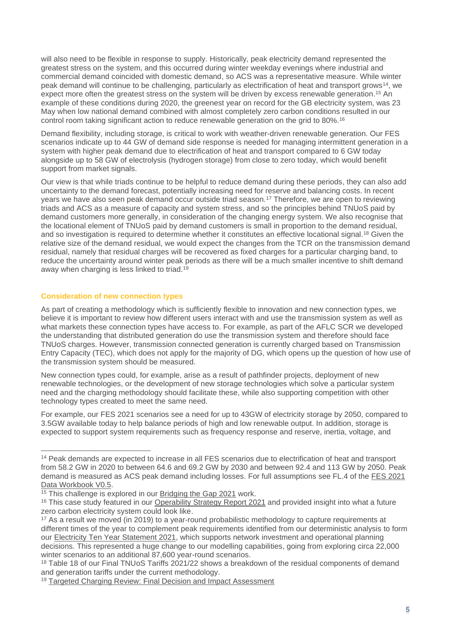will also need to be flexible in response to supply. Historically, peak electricity demand represented the greatest stress on the system, and this occurred during winter weekday evenings where industrial and commercial demand coincided with domestic demand, so ACS was a representative measure. While winter peak demand will continue to be challenging, particularly as electrification of heat and transport grows<sup>14</sup>, we expect more often the greatest stress on the system will be driven by excess renewable generation.<sup>15</sup> An example of these conditions during 2020, the greenest year on record for the GB electricity system, was 23 May when low national demand combined with almost completely zero carbon conditions resulted in our control room taking significant action to reduce renewable generation on the grid to 80%.<sup>16</sup>

Demand flexibility, including storage, is critical to work with weather-driven renewable generation. Our FES scenarios indicate up to 44 GW of demand side response is needed for managing intermittent generation in a system with higher peak demand due to electrification of heat and transport compared to 6 GW today alongside up to 58 GW of electrolysis (hydrogen storage) from close to zero today, which would benefit support from market signals.

Our view is that while triads continue to be helpful to reduce demand during these periods, they can also add uncertainty to the demand forecast, potentially increasing need for reserve and balancing costs. In recent years we have also seen peak demand occur outside triad season.<sup>17</sup> Therefore, we are open to reviewing triads and ACS as a measure of capacity and system stress, and so the principles behind TNUoS paid by demand customers more generally, in consideration of the changing energy system. We also recognise that the locational element of TNUoS paid by demand customers is small in proportion to the demand residual, and so investigation is required to determine whether it constitutes an effective locational signal.<sup>18</sup> Given the relative size of the demand residual, we would expect the changes from the TCR on the transmission demand residual, namely that residual charges will be recovered as fixed charges for a particular charging band, to reduce the uncertainty around winter peak periods as there will be a much smaller incentive to shift demand away when charging is less linked to triad.<sup>19</sup>

## **Consideration of new connection types**

As part of creating a methodology which is sufficiently flexible to innovation and new connection types, we believe it is important to review how different users interact with and use the transmission system as well as what markets these connection types have access to. For example, as part of the AFLC SCR we developed the understanding that distributed generation do use the transmission system and therefore should face TNUoS charges. However, transmission connected generation is currently charged based on Transmission Entry Capacity (TEC), which does not apply for the majority of DG, which opens up the question of how use of the transmission system should be measured.

New connection types could, for example, arise as a result of pathfinder projects, deployment of new renewable technologies, or the development of new storage technologies which solve a particular system need and the charging methodology should facilitate these, while also supporting competition with other technology types created to meet the same need.

For example, our FES 2021 scenarios see a need for up to 43GW of electricity storage by 2050, compared to 3.5GW available today to help balance periods of high and low renewable output. In addition, storage is expected to support system requirements such as frequency response and reserve, inertia, voltage, and

<sup>14</sup> Peak demands are expected to increase in all FES scenarios due to electrification of heat and transport from 58.2 GW in 2020 to between 64.6 and 69.2 GW by 2030 and between 92.4 and 113 GW by 2050. Peak demand is measured as ACS peak demand including losses. For full assumptions see FL.4 of the [FES 2021](https://www.nationalgrideso.com/future-energy/future-energy-scenarios/fes-2021/documents)  [Data Workbook V0.5.](https://www.nationalgrideso.com/future-energy/future-energy-scenarios/fes-2021/documents)

<sup>&</sup>lt;sup>15</sup> This challenge is explored in our [Bridging the Gap 2021](https://www.nationalgrideso.com/document/187761/download) work.

<sup>&</sup>lt;sup>16</sup> This case study featured in our [Operability Strategy Report 2021](https://www.nationalgrideso.com/document/183556/download) and provided insight into what a future zero carbon electricity system could look like.

<sup>&</sup>lt;sup>17</sup> As a result we moved (in 2019) to a year-round probabilistic methodology to capture requirements at different times of the year to complement peak requirements identified from our deterministic analysis to form our [Electricity Ten Year Statement 2021,](https://www.nationalgrideso.com/research-publications/4-year-round-probabilistic-analysis) which supports network investment and operational planning decisions. This represented a huge change to our modelling capabilities, going from exploring circa 22,000 winter scenarios to an additional 87,600 year-round scenarios.

<sup>18</sup> Table 18 of our Final TNUoS Tariffs 2021/22 shows a breakdown of the residual components of demand and generation tariffs under the current methodology.

<sup>19</sup> [Targeted Charging Review: Final Decision and Impact Assessment](https://www.ofgem.gov.uk/publications/targeted-charging-review-decision-and-impact-assessment)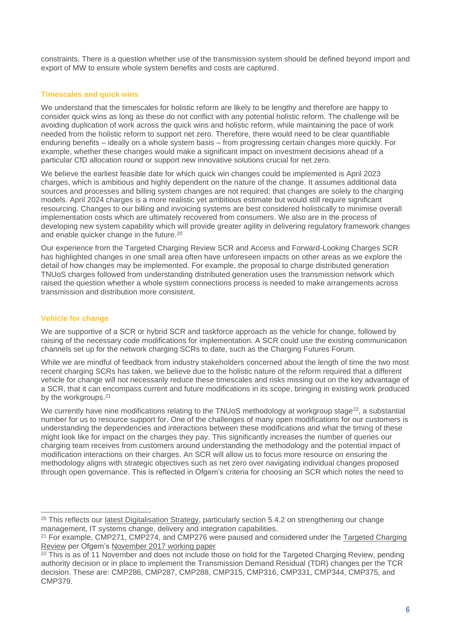constraints. There is a question whether use of the transmission system should be defined beyond import and export of MW to ensure whole system benefits and costs are captured.

# **Timescales and quick wins**

We understand that the timescales for holistic reform are likely to be lengthy and therefore are happy to consider quick wins as long as these do not conflict with any potential holistic reform. The challenge will be avoiding duplication of work across the quick wins and holistic reform, while maintaining the pace of work needed from the holistic reform to support net zero. Therefore, there would need to be clear quantifiable enduring benefits – ideally on a whole system basis – from progressing certain changes more quickly. For example, whether these changes would make a significant impact on investment decisions ahead of a particular CfD allocation round or support new innovative solutions crucial for net zero.

We believe the earliest feasible date for which quick win changes could be implemented is April 2023 charges, which is ambitious and highly dependent on the nature of the change. It assumes additional data sources and processes and billing system changes are not required; that changes are solely to the charging models. April 2024 charges is a more realistic yet ambitious estimate but would still require significant resourcing. Changes to our billing and invoicing systems are best considered holistically to minimise overall implementation costs which are ultimately recovered from consumers. We also are in the process of developing new system capability which will provide greater agility in delivering regulatory framework changes and enable quicker change in the future.<sup>20</sup>

Our experience from the Targeted Charging Review SCR and Access and Forward-Looking Charges SCR has highlighted changes in one small area often have unforeseen impacts on other areas as we explore the detail of how changes may be implemented. For example, the proposal to charge distributed generation TNUoS charges followed from understanding distributed generation uses the transmission network which raised the question whether a whole system connections process is needed to make arrangements across transmission and distribution more consistent.

# **Vehicle for change**

We are supportive of a SCR or hybrid SCR and taskforce approach as the vehicle for change, followed by raising of the necessary code modifications for implementation. A SCR could use the existing communication channels set up for the network charging SCRs to date, such as the Charging Futures Forum.

While we are mindful of feedback from industry stakeholders concerned about the length of time the two most recent charging SCRs has taken, we believe due to the holistic nature of the reform required that a different vehicle for change will not necessarily reduce these timescales and risks missing out on the key advantage of a SCR, that it can encompass current and future modifications in its scope, bringing in existing work produced by the workgroups.<sup>21</sup>

We currently have nine modifications relating to the TNUoS methodology at workgroup stage<sup>22</sup>, a substantial number for us to resource support for. One of the challenges of many open modifications for our customers is understanding the dependencies and interactions between these modifications and what the timing of these might look like for impact on the charges they pay. This significantly increases the number of queries our charging team receives from customers around understanding the methodology and the potential impact of modification interactions on their charges. An SCR will allow us to focus more resource on ensuring the methodology aligns with strategic objectives such as net zero over navigating individual changes proposed through open governance. This is reflected in Ofgem's criteria for choosing an SCR which notes the need to

<sup>&</sup>lt;sup>20</sup> This reflects our [latest Digitalisation Strategy,](https://www.nationalgrideso.com/document/186426/download) particularly section 5.4.2 on strengthening our change management, IT systems change, delivery and integration capabilities.

<sup>&</sup>lt;sup>21</sup> For example, CMP271, CMP274, and CMP276 were paused and considered under the Targeted Charging [Review](https://www.ofgem.gov.uk/publications/targeted-charging-review-decision-and-impact-assessment) per Ofgem's [November 2017 working paper](https://www.ofgem.gov.uk/sites/default/files/docs/2017/11/tcr_working_paper_nov17_final.pdf)

 $\frac{22 \text{ This is as of 11 November and does not include those on hold for the Taraeted Charaina Review. Dending$ authority decision or in place to implement the Transmission Demand Residual (TDR) changes per the TCR decision. These are: CMP286, CMP287, CMP288, CMP315, CMP316, CMP331, CMP344, CMP375, and CMP379.